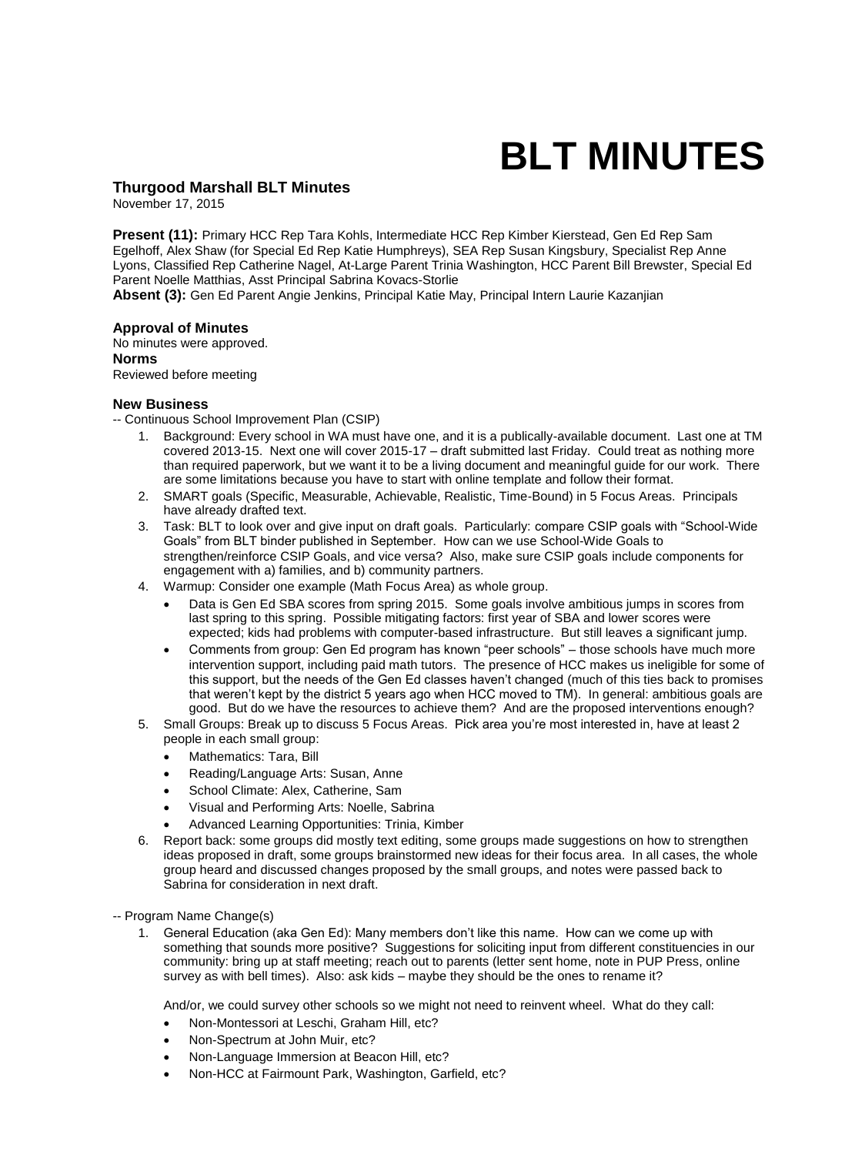# **BLT MINUTES**

## **Thurgood Marshall BLT Minutes**

November 17, 2015

**Present (11):** Primary HCC Rep Tara Kohls, Intermediate HCC Rep Kimber Kierstead, Gen Ed Rep Sam Egelhoff, Alex Shaw (for Special Ed Rep Katie Humphreys), SEA Rep Susan Kingsbury, Specialist Rep Anne Lyons, Classified Rep Catherine Nagel, At-Large Parent Trinia Washington, HCC Parent Bill Brewster, Special Ed Parent Noelle Matthias, Asst Principal Sabrina Kovacs-Storlie

**Absent (3):** Gen Ed Parent Angie Jenkins, Principal Katie May, Principal Intern Laurie Kazanjian

#### **Approval of Minutes**

No minutes were approved. **Norms**  Reviewed before meeting

#### **New Business**

-- Continuous School Improvement Plan (CSIP)

- 1. Background: Every school in WA must have one, and it is a publically-available document. Last one at TM covered 2013-15. Next one will cover 2015-17 – draft submitted last Friday. Could treat as nothing more than required paperwork, but we want it to be a living document and meaningful guide for our work. There are some limitations because you have to start with online template and follow their format.
- 2. SMART goals (Specific, Measurable, Achievable, Realistic, Time-Bound) in 5 Focus Areas. Principals have already drafted text.
- 3. Task: BLT to look over and give input on draft goals. Particularly: compare CSIP goals with "School-Wide Goals" from BLT binder published in September. How can we use School-Wide Goals to strengthen/reinforce CSIP Goals, and vice versa? Also, make sure CSIP goals include components for engagement with a) families, and b) community partners.
- 4. Warmup: Consider one example (Math Focus Area) as whole group.
	- Data is Gen Ed SBA scores from spring 2015. Some goals involve ambitious jumps in scores from last spring to this spring. Possible mitigating factors: first year of SBA and lower scores were expected; kids had problems with computer-based infrastructure. But still leaves a significant jump.
	- Comments from group: Gen Ed program has known "peer schools" those schools have much more intervention support, including paid math tutors. The presence of HCC makes us ineligible for some of this support, but the needs of the Gen Ed classes haven't changed (much of this ties back to promises that weren't kept by the district 5 years ago when HCC moved to TM). In general: ambitious goals are good. But do we have the resources to achieve them? And are the proposed interventions enough?
- 5. Small Groups: Break up to discuss 5 Focus Areas. Pick area you're most interested in, have at least 2 people in each small group:
	- Mathematics: Tara, Bill
	- Reading/Language Arts: Susan, Anne
	- School Climate: Alex, Catherine, Sam
	- Visual and Performing Arts: Noelle, Sabrina
	- Advanced Learning Opportunities: Trinia, Kimber
- 6. Report back: some groups did mostly text editing, some groups made suggestions on how to strengthen ideas proposed in draft, some groups brainstormed new ideas for their focus area. In all cases, the whole group heard and discussed changes proposed by the small groups, and notes were passed back to Sabrina for consideration in next draft.

-- Program Name Change(s)

1. General Education (aka Gen Ed): Many members don't like this name. How can we come up with something that sounds more positive? Suggestions for soliciting input from different constituencies in our community: bring up at staff meeting; reach out to parents (letter sent home, note in PUP Press, online survey as with bell times). Also: ask kids – maybe they should be the ones to rename it?

And/or, we could survey other schools so we might not need to reinvent wheel. What do they call:

- Non-Montessori at Leschi, Graham Hill, etc?
- Non-Spectrum at John Muir, etc?
- Non-Language Immersion at Beacon Hill, etc?
- Non-HCC at Fairmount Park, Washington, Garfield, etc?